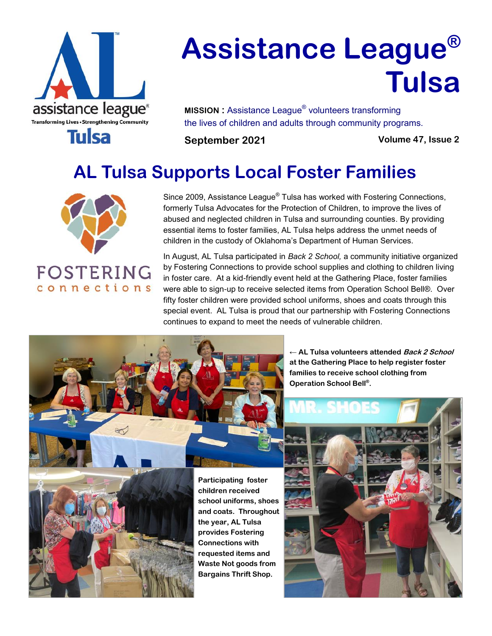

# **Assistance League® Tulsa**

**MISSION :** Assistance League® volunteers transforming the lives of children and adults through community programs.

**September 2021 Volume 47, Issue 2**

## **AL Tulsa Supports Local Foster Families**



connections

Since 2009, Assistance League $^\circ$  Tulsa has worked with Fostering Connections, formerly Tulsa Advocates for the Protection of Children, to improve the lives of abused and neglected children in Tulsa and surrounding counties. By providing essential items to foster families, AL Tulsa helps address the unmet needs of children in the custody of Oklahoma's Department of Human Services.

In August, AL Tulsa participated in *Back 2 School,* a community initiative organized by Fostering Connections to provide school supplies and clothing to children living in foster care. At a kid-friendly event held at the Gathering Place, foster families were able to sign-up to receive selected items from Operation School Bell®. Over fifty foster children were provided school uniforms, shoes and coats through this special event. AL Tulsa is proud that our partnership with Fostering Connections continues to expand to meet the needs of vulnerable children.



← **AL Tulsa volunteers attended Back 2 School at the Gathering Place to help register foster families to receive school clothing from Operation School Bell® .**

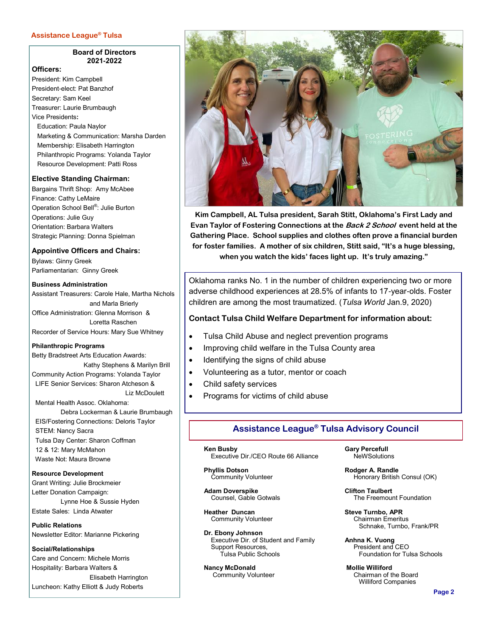#### **Assistance League® Tulsa**

#### **Board of Directors 2021-2022**

#### **Officers:**

President: Kim Campbell President-elect: Pat Banzhof Secretary: Sam Keel Treasurer: Laurie Brumbaugh Vice Presidents**:** Education: Paula Naylor Marketing & Communication: Marsha Darden Membership: Elisabeth Harrington Philanthropic Programs: Yolanda Taylor Resource Development: Patti Ross

#### **Elective Standing Chairman:**

Bargains Thrift Shop: Amy McAbee Finance: Cathy LeMaire Operation School Bell®: Julie Burton Operations: Julie Guy Orientation: Barbara Walters Strategic Planning: Donna Spielman

**Appointive Officers and Chairs:**

Bylaws: Ginny Greek Parliamentarian: Ginny Greek

#### **Business Administration**

Assistant Treasurers: Carole Hale, Martha Nichols and Marla Brierly Office Administration: Glenna Morrison & Loretta Raschen Recorder of Service Hours: Mary Sue Whitney

#### **Philanthropic Programs**

Betty Bradstreet Arts Education Awards: Kathy Stephens & Marilyn Brill Community Action Programs: Yolanda Taylor LIFE Senior Services: Sharon Atcheson & Liz McDoulett Mental Health Assoc. Oklahoma: Debra Lockerman & Laurie Brumbaugh

 EIS/Fostering Connections: Deloris Taylor STEM: Nancy Sacra Tulsa Day Center: Sharon Coffman 12 & 12: Mary McMahon Waste Not: Maura Browne

**Resource Development** Grant Writing: Julie Brockmeier Letter Donation Campaign: Lynne Hoe & Sussie Hyden

Estate Sales: Linda Atwater

**Public Relations** Newsletter Editor: Marianne Pickering

**Social/Relationships** Care and Concern: Michele Morris Hospitality: Barbara Walters & Elisabeth Harrington Luncheon: Kathy Elliott & Judy Roberts



**Kim Campbell, AL Tulsa president, Sarah Stitt, Oklahoma's First Lady and Evan Taylor of Fostering Connections at the Back 2 School event held at the Gathering Place. School supplies and clothes often prove a financial burden for foster families. A mother of six children, Stitt said, "It's a huge blessing, when you watch the kids' faces light up. It's truly amazing."** 

[Oklahoma ranks No. 1 in](https://www.americashealthrankings.org/explore/health-of-women-and-children/measure/ACEs/state/OK) the number of children experiencing two or more adverse childhood experiences at 28.5% of infants to 17-year-olds. Foster children are among the most traumatized. (*Tulsa World* Jan.9, 2020)

#### **Contact Tulsa Child Welfare Department for information about:**

- Tulsa Child Abuse and neglect prevention programs
- Improving child welfare in the Tulsa County area
- Identifying the signs of child abuse
- Volunteering as a tutor, mentor or coach
- Child safety services
- Programs for victims of child abuse

### **Assistance League® Tulsa Advisory Council**

 **Ken Busby** Executive Dir./CEO Route 66 Alliance

 **Phyllis Dotson** Community Volunteer

 **Adam Doverspike** Counsel, Gable Gotwals

 **Heather Duncan** Community Volunteer

 **Dr. Ebony Johnson** Executive Dir. of Student and Family Support Resources, Tulsa Public Schools

 **Nancy McDonald** Community Volunteer  **Gary Percefull**

**NeWSolutions** 

 **Rodger A. Randle Honorary British Consul (OK)** 

 **Clifton Taulbert** The Freemount Foundation

 **Steve Turnbo, APR** Chairman Emeritus Schnake, Turnbo, Frank/PR

 **Anhna K. Vuong** President and CEO Foundation for Tulsa Schools

 **Mollie Williford** Chairman of the Board Williford Companies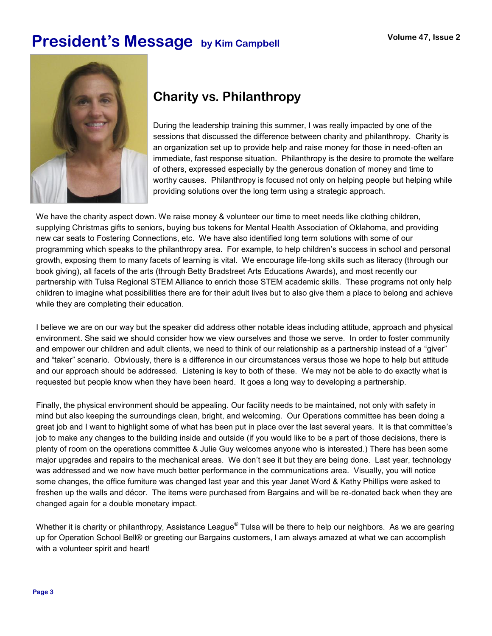### **President's Message** by Kim Campbell **Volume 47, Issue 2**



### **Charity vs. Philanthropy**

During the leadership training this summer, I was really impacted by one of the sessions that discussed the difference between charity and philanthropy. Charity is an organization set up to provide help and raise money for those in need-often an immediate, fast response situation. Philanthropy is the desire to promote the welfare of others, expressed especially by the generous donation of money and time to worthy causes. Philanthropy is focused not only on helping people but helping while providing solutions over the long term using a strategic approach.

We have the charity aspect down. We raise money & volunteer our time to meet needs like clothing children, supplying Christmas gifts to seniors, buying bus tokens for Mental Health Association of Oklahoma, and providing new car seats to Fostering Connections, etc. We have also identified long term solutions with some of our programming which speaks to the philanthropy area. For example, to help children's success in school and personal growth, exposing them to many facets of learning is vital. We encourage life-long skills such as literacy (through our book giving), all facets of the arts (through Betty Bradstreet Arts Educations Awards), and most recently our partnership with Tulsa Regional STEM Alliance to enrich those STEM academic skills. These programs not only help children to imagine what possibilities there are for their adult lives but to also give them a place to belong and achieve while they are completing their education.

I believe we are on our way but the speaker did address other notable ideas including attitude, approach and physical environment. She said we should consider how we view ourselves and those we serve. In order to foster community and empower our children and adult clients, we need to think of our relationship as a partnership instead of a "giver" and "taker" scenario. Obviously, there is a difference in our circumstances versus those we hope to help but attitude and our approach should be addressed. Listening is key to both of these. We may not be able to do exactly what is requested but people know when they have been heard. It goes a long way to developing a partnership.

Finally, the physical environment should be appealing. Our facility needs to be maintained, not only with safety in mind but also keeping the surroundings clean, bright, and welcoming. Our Operations committee has been doing a great job and I want to highlight some of what has been put in place over the last several years. It is that committee's job to make any changes to the building inside and outside (if you would like to be a part of those decisions, there is plenty of room on the operations committee & Julie Guy welcomes anyone who is interested.) There has been some major upgrades and repairs to the mechanical areas. We don't see it but they are being done. Last year, technology was addressed and we now have much better performance in the communications area. Visually, you will notice some changes, the office furniture was changed last year and this year Janet Word & Kathy Phillips were asked to freshen up the walls and décor. The items were purchased from Bargains and will be re-donated back when they are changed again for a double monetary impact.

Whether it is charity or philanthropy, Assistance League $^\circ$  Tulsa will be there to help our neighbors. As we are gearing up for Operation School Bell® or greeting our Bargains customers, I am always amazed at what we can accomplish with a volunteer spirit and heart!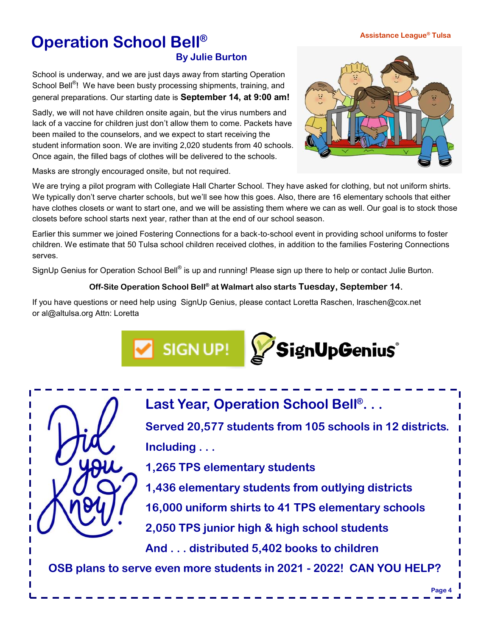### **Assistance League® Tulsa**

### **Operation School Bell® By Julie Burton**

School is underway, and we are just days away from starting Operation School Bell<sup>®</sup>! We have been busty processing shipments, training, and general preparations. Our starting date is **September 14, at 9:00 am!**

Sadly, we will not have children onsite again, but the virus numbers and lack of a vaccine for children just don't allow them to come. Packets have been mailed to the counselors, and we expect to start receiving the student information soon. We are inviting 2,020 students from 40 schools. Once again, the filled bags of clothes will be delivered to the schools.

Masks are strongly encouraged onsite, but not required.

We are trying a pilot program with Collegiate Hall Charter School. They have asked for clothing, but not uniform shirts. We typically don't serve charter schools, but we'll see how this goes. Also, there are 16 elementary schools that either have clothes closets or want to start one, and we will be assisting them where we can as well. Our goal is to stock those closets before school starts next year, rather than at the end of our school season.

Earlier this summer we joined Fostering Connections for a back-to-school event in providing school uniforms to foster children. We estimate that 50 Tulsa school children received clothes, in addition to the families Fostering Connections serves.

SignUp Genius for Operation School Bell® is up and running! Please sign up there to help or contact Julie Burton.

#### **Off-Site Operation School Bell® at Walmart also starts Tuesday, September 14.**

If you have questions or need help using SignUp Genius, please contact Loretta Raschen, lraschen@cox.net or al@altulsa.org Attn: Loretta

> **Last Year, Operation School Bell® . . . Served 20,577 students from 105 schools in 12 districts. Including . . . 1,265 TPS elementary students 1,436 elementary students from outlying districts**

**16,000 uniform shirts to 41 TPS elementary schools**

**2,050 TPS junior high & high school students**

**And . . . distributed 5,402 books to children**

**OSB plans to serve even more students in 2021 - 2022! CAN YOU HELP?**